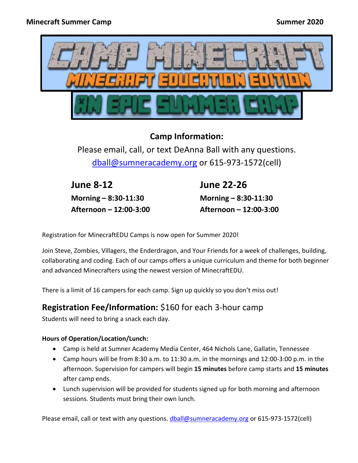

## **Camp Information:**

Please email, call, or text DeAnna Ball with any questions. [dball@sumneracademy.org](mailto:dball@sumneracademy.org) or 615-973-1572(cell)

**June 8-12 Morning – 8:30-11:30 Afternoon – 12:00-3:00** **June 22-26 Morning – 8:30-11:30 Afternoon – 12:00-3:00**

Registration for MinecraftEDU Camps is now open for Summer 2020!

Join Steve, Zombies, Villagers, the Enderdragon, and Your Friends for a week of challenges, building, collaborating and coding. Each of our camps offers a unique curriculum and theme for both beginner and advanced Minecrafters using the newest version of MinecraftEDU.

There is a limit of 16 campers for each camp. Sign up quickly so you don't miss out!

## **Registration Fee/Information:** \$160 for each 3-hour camp

Students will need to bring a snack each day.

## **Hours of Operation/Location/Lunch:**

- Camp is held at Sumner Academy Media Center, 464 Nichols Lane, Gallatin, Tennessee
- Camp hours will be from 8:30 a.m. to 11:30 a.m. in the mornings and 12:00-3:00 p.m. in the afternoon. Supervision for campers will begin **15 minutes** before camp starts and **15 minutes** after camp ends.
- Lunch supervision will be provided for students signed up for both morning and afternoon sessions. Students must bring their own lunch.

Please email, call or text with any questions. [dball@sumneracademy.org](mailto:dball@sumneracademy.org) or 615-973-1572(cell)